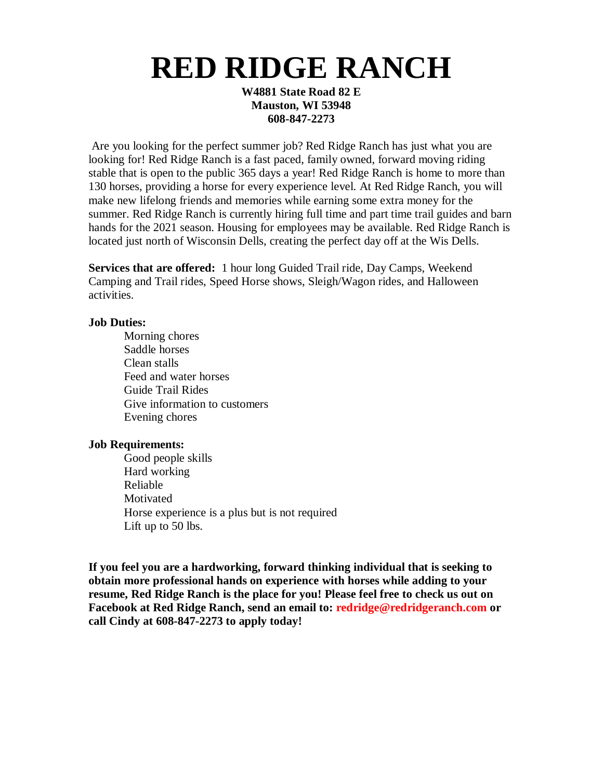# **RED RIDGE RANCH**

**W4881 State Road 82 E Mauston, WI 53948 608-847-2273**

Are you looking for the perfect summer job? Red Ridge Ranch has just what you are looking for! Red Ridge Ranch is a fast paced, family owned, forward moving riding stable that is open to the public 365 days a year! Red Ridge Ranch is home to more than 130 horses, providing a horse for every experience level. At Red Ridge Ranch, you will make new lifelong friends and memories while earning some extra money for the summer. Red Ridge Ranch is currently hiring full time and part time trail guides and barn hands for the 2021 season. Housing for employees may be available. Red Ridge Ranch is located just north of Wisconsin Dells, creating the perfect day off at the Wis Dells.

**Services that are offered:** 1 hour long Guided Trail ride, Day Camps, Weekend Camping and Trail rides, Speed Horse shows, Sleigh/Wagon rides, and Halloween activities.

## **Job Duties:**

Morning chores Saddle horses Clean stalls Feed and water horses Guide Trail Rides Give information to customers Evening chores

#### **Job Requirements:**

Good people skills Hard working Reliable **Motivated** Horse experience is a plus but is not required Lift up to 50 lbs.

**If you feel you are a hardworking, forward thinking individual that is seeking to obtain more professional hands on experience with horses while adding to your resume, Red Ridge Ranch is the place for you! Please feel free to check us out on Facebook at Red Ridge Ranch, send an email to: redridge@redridgeranch.com or call Cindy at 608-847-2273 to apply today!**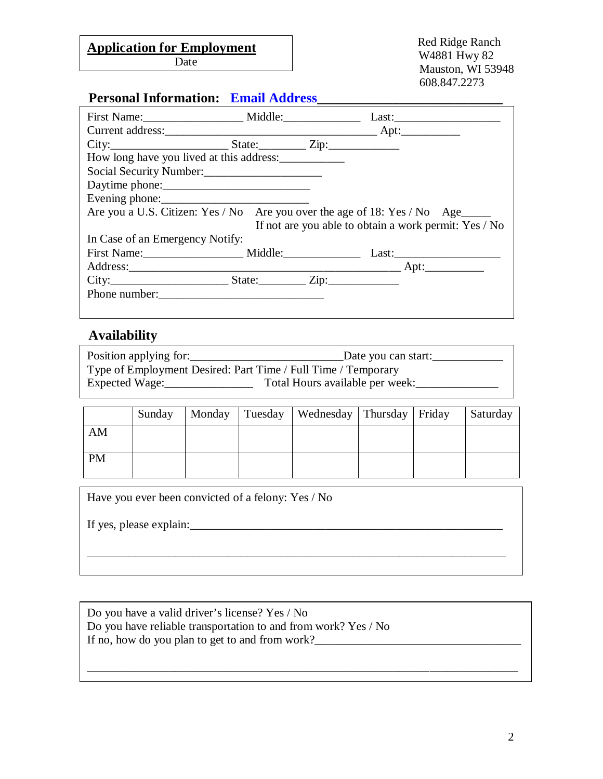### ndication for Employment Franch Red Ridge Ranch Application for **Employment**<br>W4881 Hwy 82

Date

# **Personal Information: Email Address\_\_\_\_\_\_\_\_\_\_\_\_\_\_\_\_\_\_\_\_\_\_\_\_\_\_\_**

| How long have you lived at this address:                                       |  |                                                       |
|--------------------------------------------------------------------------------|--|-------------------------------------------------------|
| Social Security Number:                                                        |  |                                                       |
|                                                                                |  |                                                       |
| Evening phone:                                                                 |  |                                                       |
| Are you a U.S. Citizen: Yes / No Are you over the age of 18: Yes / No Age_____ |  |                                                       |
|                                                                                |  | If not are you able to obtain a work permit: Yes / No |
| In Case of an Emergency Notify:                                                |  |                                                       |
| First Name: Middle: Middle: Last:                                              |  |                                                       |
|                                                                                |  |                                                       |
|                                                                                |  |                                                       |
| Phone number:                                                                  |  |                                                       |
|                                                                                |  |                                                       |

# **Availability**

| Position applying for:                                        | _Date you can start:_           |
|---------------------------------------------------------------|---------------------------------|
| Type of Employment Desired: Part Time / Full Time / Temporary |                                 |
| Expected Wage:                                                | Total Hours available per week: |

|           | Sunday |  | Monday   Tuesday   Wednesday   Thursday   Friday |  | Saturday |
|-----------|--------|--|--------------------------------------------------|--|----------|
| AM        |        |  |                                                  |  |          |
| <b>PM</b> |        |  |                                                  |  |          |

| Have you ever been convicted of a felony: Yes / No |
|----------------------------------------------------|
| If yes, please explain:                            |
|                                                    |
|                                                    |

\_\_\_\_\_\_\_\_\_\_\_\_\_\_\_\_\_\_\_\_\_\_\_\_\_\_\_\_\_\_\_\_\_\_\_\_\_\_\_\_\_\_\_\_\_\_\_\_\_\_\_\_\_\_\_\_\_\_\_\_\_\_\_\_\_\_\_\_\_\_\_\_\_

| Do you have a valid driver's license? Yes / No                 |  |
|----------------------------------------------------------------|--|
| Do you have reliable transportation to and from work? Yes / No |  |
| If no, how do you plan to get to and from work?                |  |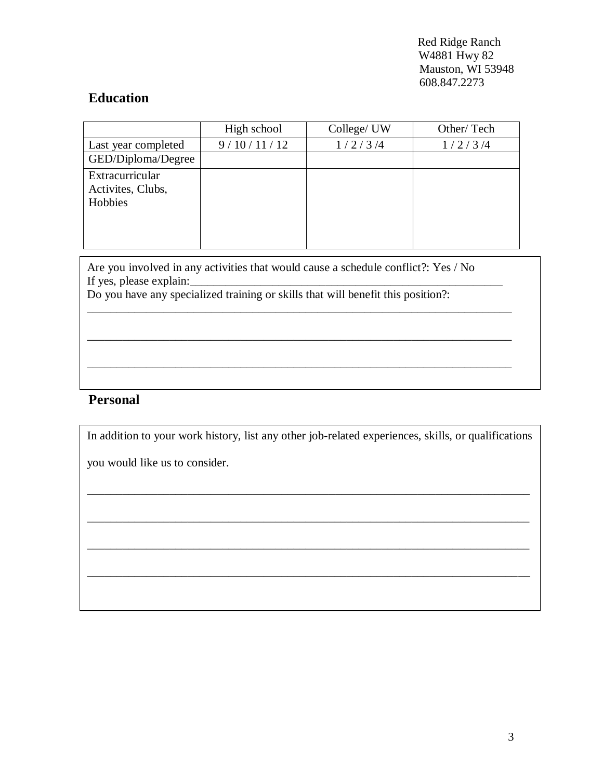Red Ridge Ranch W4881 Hwy 82 Mauston, WI 53948 608.847.2273

## **Education**

|                                                 | High school | College/ UW | Other/Tech |
|-------------------------------------------------|-------------|-------------|------------|
| Last year completed                             | 9/10/11/12  | 1/2/3/4     | 1/2/3/4    |
| GED/Diploma/Degree                              |             |             |            |
| Extracurricular<br>Activites, Clubs,<br>Hobbies |             |             |            |

Are you involved in any activities that would cause a schedule conflict?: Yes / No If yes, please explain:

\_\_\_\_\_\_\_\_\_\_\_\_\_\_\_\_\_\_\_\_\_\_\_\_\_\_\_\_\_\_\_\_\_\_\_\_\_\_\_\_\_\_\_\_\_\_\_\_\_\_\_\_\_\_\_\_\_\_\_\_\_\_\_\_\_\_\_\_\_\_\_\_

\_\_\_\_\_\_\_\_\_\_\_\_\_\_\_\_\_\_\_\_\_\_\_\_\_\_\_\_\_\_\_\_\_\_\_\_\_\_\_\_\_\_\_\_\_\_\_\_\_\_\_\_\_\_\_\_\_\_\_\_\_\_\_\_\_\_\_\_\_\_\_\_

\_\_\_\_\_\_\_\_\_\_\_\_\_\_\_\_\_\_\_\_\_\_\_\_\_\_\_\_\_\_\_\_\_\_\_\_\_\_\_\_\_\_\_\_\_\_\_\_\_\_\_\_\_\_\_\_\_\_\_\_\_\_\_\_\_\_\_\_\_\_\_\_

Do you have any specialized training or skills that will benefit this position?:

## **Personal**

In addition to your work history, list any other job-related experiences, skills, or qualifications

\_\_\_\_\_\_\_\_\_\_\_\_\_\_\_\_\_\_\_\_\_\_\_\_\_\_\_\_\_\_\_\_\_\_\_\_\_\_\_\_\_\_\_\_\_\_\_\_\_\_\_\_\_\_\_\_\_\_\_\_\_\_\_\_\_\_\_\_\_\_\_\_\_\_\_

you would like us to consider.